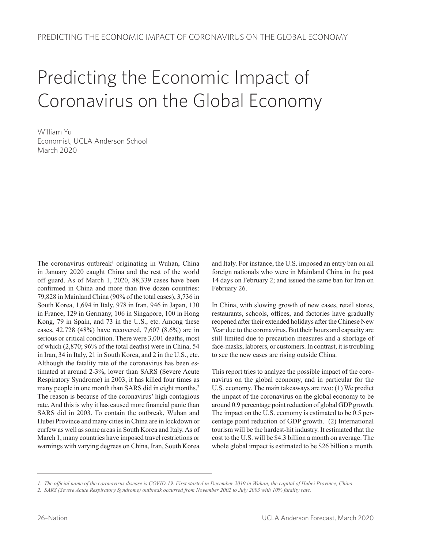# Predicting the Economic Impact of Coronavirus on the Global Economy

William Yu Economist, UCLA Anderson School March 2020

The coronavirus outbreak<sup>1</sup> originating in Wuhan, China in January 2020 caught China and the rest of the world off guard. As of March 1, 2020, 88,339 cases have been confirmed in China and more than five dozen countries: 79,828 in Mainland China (90% of the total cases), 3,736 in South Korea, 1,694 in Italy, 978 in Iran, 946 in Japan, 130 in France, 129 in Germany, 106 in Singapore, 100 in Hong Kong, 79 in Spain, and 73 in the U.S., etc. Among these cases, 42,728 (48%) have recovered, 7,607 (8.6%) are in serious or critical condition. There were 3,001 deaths, most of which (2,870; 96% of the total deaths) were in China, 54 in Iran, 34 in Italy, 21 in South Korea, and 2 in the U.S., etc. Although the fatality rate of the coronavirus has been estimated at around 2-3%, lower than SARS (Severe Acute Respiratory Syndrome) in 2003, it has killed four times as many people in one month than SARS did in eight months.<sup>2</sup> The reason is because of the coronavirus' high contagious rate. And this is why it has caused more financial panic than SARS did in 2003. To contain the outbreak, Wuhan and Hubei Province and many cities in China are in lockdown or curfew as well as some areas in South Korea and Italy. As of March 1, many countries have imposed travel restrictions or warnings with varying degrees on China, Iran, South Korea

and Italy. For instance, the U.S. imposed an entry ban on all foreign nationals who were in Mainland China in the past 14 days on February 2; and issued the same ban for Iran on February 26.

In China, with slowing growth of new cases, retail stores, restaurants, schools, offices, and factories have gradually reopened after their extended holidays after the Chinese New Year due to the coronavirus. But their hours and capacity are still limited due to precaution measures and a shortage of face-masks, laborers, or customers. In contrast, it is troubling to see the new cases are rising outside China.

This report tries to analyze the possible impact of the coronavirus on the global economy, and in particular for the U.S. economy. The main takeaways are two: (1) We predict the impact of the coronavirus on the global economy to be around 0.9 percentage point reduction of global GDP growth. The impact on the U.S. economy is estimated to be 0.5 percentage point reduction of GDP growth. (2) International tourism will be the hardest-hit industry. It estimated that the cost to the U.S. will be \$4.3 billion a month on average. The whole global impact is estimated to be \$26 billion a month.

*<sup>1.</sup> The official name of the coronavirus disease is COVID-19. First started in December 2019 in Wuhan, the capital of Hubei Province, China.*

*<sup>2.</sup> SARS (Severe Acute Respiratory Syndrome) outbreak occurred from November 2002 to July 2003 with 10% fatality rate.*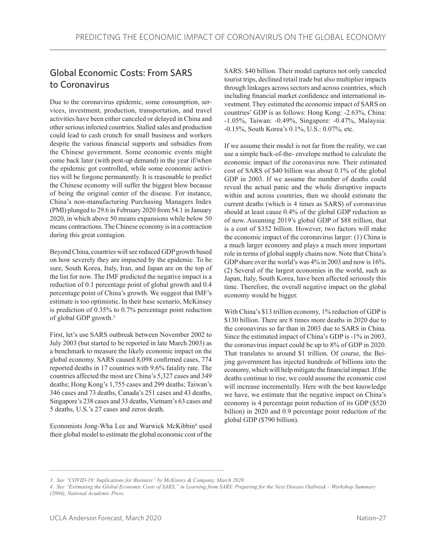## Global Economic Costs: From SARS to Coronavirus

Due to the coronavirus epidemic, some consumption, services, investment, production, transportation, and travel activities have been either canceled or delayed in China and other serious infected countries. Stalled sales and production could lead to cash crunch for small business and workers despite the various financial supports and subsidies from the Chinese government. Some economic events might come back later (with pent-up demand) in the year if/when the epidemic got controlled, while some economic activities will be forgone permanently. It is reasonable to predict the Chinese economy will suffer the biggest blow because of being the original center of the disease. For instance, China's non-manufacturing Purchasing Managers Index (PMI) plunged to 29.6 in February 2020 from 54.1 in January 2020, in which above 50 means expansions while below 50 means contractions. The Chinese economy is in a contraction during this great contagion.

Beyond China, countries will see reduced GDP growth based on how severely they are impacted by the epidemic. To be sure, South Korea, Italy, Iran, and Japan are on the top of the list for now. The IMF predicted the negative impact is a reduction of 0.1 percentage point of global growth and 0.4 percentage point of China's growth. We suggest that IMF's estimate is too optimistic. In their base scenario, McKinsey is prediction of 0.35% to 0.7% percentage point reduction of global GDP growth.<sup>3</sup>

First, let's use SARS outbreak between November 2002 to July 2003 (but started to be reported in late March 2003) as a benchmark to measure the likely economic impact on the global economy. SARS caused 8,098 confirmed cases, 774 reported deaths in 17 countries with 9.6% fatality rate. The countries affected the most are China's 5,327 cases and 349 deaths; Hong Kong's 1,755 cases and 299 deaths; Taiwan's 346 cases and 73 deaths, Canada's 251 cases and 43 deaths, Singapore's 238 cases and 33 deaths, Vietnam's 63 cases and 5 deaths, U.S.'s 27 cases and zeros death.

Economists Jong-Wha Lee and Warwick McKibbin<sup>4</sup> used their global model to estimate the global economic cost of the

SARS: \$40 billion. Their model captures not only canceled tourist trips, declined retail trade but also multiplier impacts through linkages across sectors and across countries, which including financial market confidence and international investment. They estimated the economic impact of SARS on countries' GDP is as follows: Hong Kong: -2.63%, China: -1.05%, Taiwan: -0.49%, Singapore: -0.47%, Malaysia: -0.15%, South Korea's 0.1%, U.S.: 0.07%, etc.

If we assume their model is not far from the reality, we can use a simple back-of-the- envelope method to calculate the economic impact of the coronavirus now. Their estimated cost of SARS of \$40 billion was about 0.1% of the global GDP in 2003. If we assume the number of deaths could reveal the actual panic and the whole disruptive impacts within and across countries, then we should estimate the current deaths (which is 4 times as SARS) of coronavirus should at least cause 0.4% of the global GDP reduction as of now. Assuming 2019's global GDP of \$88 trillion, that is a cost of \$352 billion. However, two factors will make the economic impact of the coronavirus larger: (1) China is a much larger economy and plays a much more important role in terms of global supply chains now. Note that China's GDP share over the world's was 4% in 2003 and now is 16%. (2) Several of the largest economies in the world, such as Japan, Italy, South Korea, have been affected seriously this time. Therefore, the overall negative impact on the global economy would be bigger.

With China's \$13 trillion economy, 1% reduction of GDP is \$130 billion. There are 8 times more deaths in 2020 due to the coronavirus so far than in 2003 due to SARS in China. Since the estimated impact of China's GDP is -1% in 2003, the coronavirus impact could be up to 8% of GDP in 2020. That translates to around \$1 trillion. Of course, the Beijing government has injected hundreds of billions into the economy, which will help mitigate the financial impact. If the deaths continue to rise, we could assume the economic cost will increase incrementally. Here with the best knowledge we have, we estimate that the negative impact on China's economy is 4 percentage point reduction of its GDP (\$520 billion) in 2020 and 0.9 percentage point reduction of the global GDP (\$790 billion).

*<sup>3.</sup> See "COVID-19: Implications for Business" by McKinsey & Company, March 2020.*

*<sup>4.</sup> See "Estimating the Global Economic Costs of SARS," in Learning from SARS: Preparing for the Next Disease Outbreak – Workshop Summary (2004), National Academic Press.*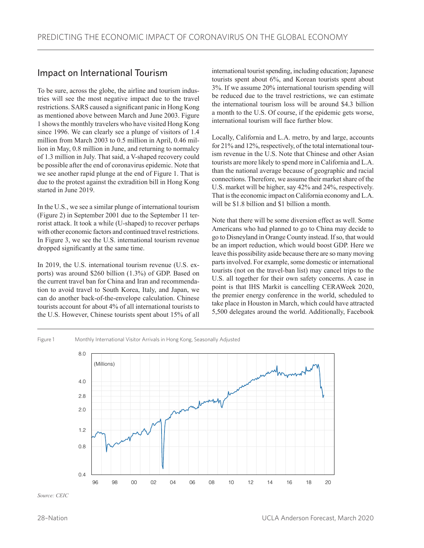## Impact on International Tourism

To be sure, across the globe, the airline and tourism industries will see the most negative impact due to the travel restrictions. SARS caused a significant panic in Hong Kong as mentioned above between March and June 2003. Figure 1 shows the monthly travelers who have visited Hong Kong since 1996. We can clearly see a plunge of visitors of 1.4 million from March 2003 to 0.5 million in April, 0.46 million in May, 0.8 million in June, and returning to normalcy of 1.3 million in July. That said, a V-shaped recovery could be possible after the end of coronavirus epidemic. Note that we see another rapid plunge at the end of Figure 1. That is due to the protest against the extradition bill in Hong Kong started in June 2019.

In the U.S., we see a similar plunge of international tourism (Figure 2) in September 2001 due to the September 11 terrorist attack. It took a while (U-shaped) to recover perhaps with other economic factors and continued travel restrictions. In Figure 3, we see the U.S. international tourism revenue dropped significantly at the same time.

In 2019, the U.S. international tourism revenue (U.S. exports) was around \$260 billion (1.3%) of GDP. Based on the current travel ban for China and Iran and recommendation to avoid travel to South Korea, Italy, and Japan, we can do another back-of-the-envelope calculation. Chinese tourists account for about 4% of all international tourists to the U.S. However, Chinese tourists spent about 15% of all

international tourist spending, including education; Japanese tourists spent about 6%, and Korean tourists spent about 3%. If we assume 20% international tourism spending will be reduced due to the travel restrictions, we can estimate the international tourism loss will be around \$4.3 billion a month to the U.S. Of course, if the epidemic gets worse, international tourism will face further blow.

Locally, California and L.A. metro, by and large, accounts for 21% and 12%, respectively, of the total international tourism revenue in the U.S. Note that Chinese and other Asian tourists are more likely to spend more in California and L.A. than the national average because of geographic and racial connections. Therefore, we assume their market share of the U.S. market will be higher, say 42% and 24%, respectively. That is the economic impact on California economy and L.A. will be \$1.8 billion and \$1 billion a month.

Note that there will be some diversion effect as well. Some Americans who had planned to go to China may decide to go to Disneyland in Orange County instead. If so, that would be an import reduction, which would boost GDP. Here we leave this possibility aside because there are so many moving parts involved. For example, some domestic or international tourists (not on the travel-ban list) may cancel trips to the U.S. all together for their own safety concerns. A case in point is that IHS Markit is cancelling CERAWeek 2020, the premier energy conference in the world, scheduled to take place in Houston in March, which could have attracted 5,500 delegates around the world. Additionally, Facebook

#### Figure 1 Monthly International Visitor Arrivals in Hong Kong, Seasonally Adjusted



*Source: CEIC*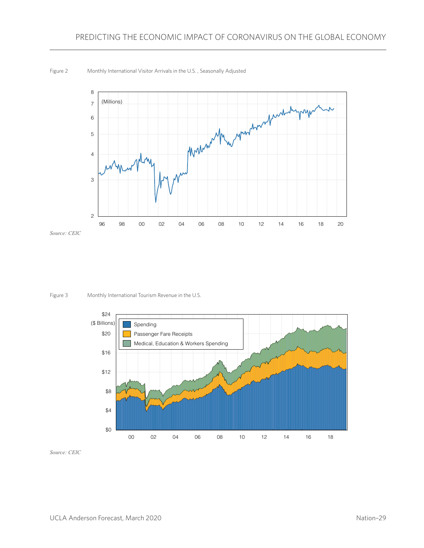Figure 2 Monthly International Visitor Arrivals in the U.S. , Seasonally Adjusted



*Source: CEIC*

Figure 3 Monthly International Tourism Revenue in the U.S.



*Source: CEIC*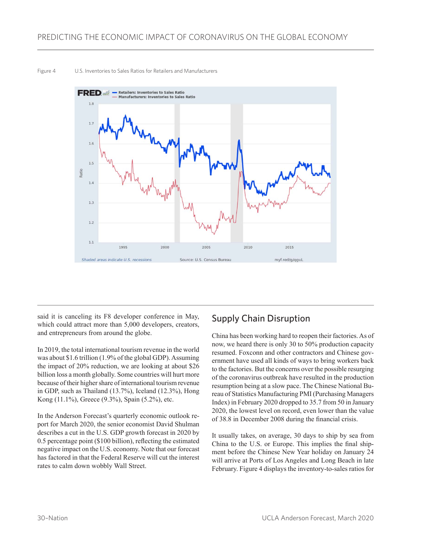#### Figure 4 U.S. Inventories to Sales Ratios for Retailers and Manufacturers



said it is canceling its F8 developer conference in May, which could attract more than 5,000 developers, creators, and entrepreneurs from around the globe.

In 2019, the total international tourism revenue in the world was about \$1.6 trillion (1.9% of the global GDP). Assuming the impact of 20% reduction, we are looking at about \$26 billion loss a month globally. Some countries will hurt more because of their higher share of international tourism revenue in GDP, such as Thailand (13.7%), Iceland (12.3%), Hong Kong (11.1%), Greece (9.3%), Spain (5.2%), etc.

In the Anderson Forecast's quarterly economic outlook report for March 2020, the senior economist David Shulman describes a cut in the U.S. GDP growth forecast in 2020 by 0.5 percentage point (\$100 billion), reflecting the estimated negative impact on the U.S. economy. Note that our forecast has factored in that the Federal Reserve will cut the interest rates to calm down wobbly Wall Street.

## Supply Chain Disruption

China has been working hard to reopen their factories. As of now, we heard there is only 30 to 50% production capacity resumed. Foxconn and other contractors and Chinese government have used all kinds of ways to bring workers back to the factories. But the concerns over the possible resurging of the coronavirus outbreak have resulted in the production resumption being at a slow pace. The Chinese National Bureau of Statistics Manufacturing PMI (Purchasing Managers Index) in February 2020 dropped to 35.7 from 50 in January 2020, the lowest level on record, even lower than the value of 38.8 in December 2008 during the financial crisis.

It usually takes, on average, 30 days to ship by sea from China to the U.S. or Europe. This implies the final shipment before the Chinese New Year holiday on January 24 will arrive at Ports of Los Angeles and Long Beach in late February. Figure 4 displays the inventory-to-sales ratios for